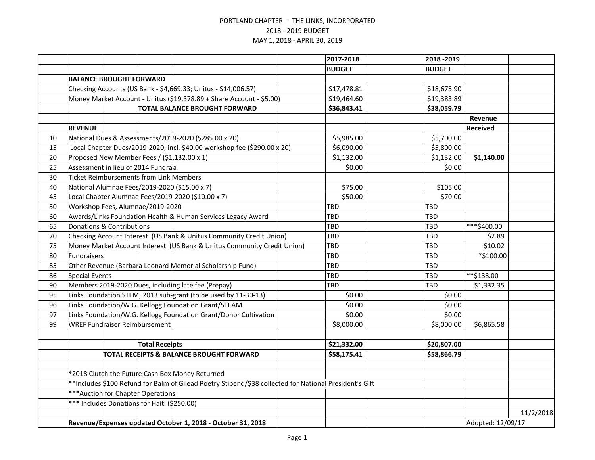|    |                                                                                                        |  |                                                |                                                                          |  | 2017-2018     | 2018 - 2019   |                   |           |
|----|--------------------------------------------------------------------------------------------------------|--|------------------------------------------------|--------------------------------------------------------------------------|--|---------------|---------------|-------------------|-----------|
|    |                                                                                                        |  |                                                |                                                                          |  | <b>BUDGET</b> | <b>BUDGET</b> |                   |           |
|    | <b>BALANCE BROUGHT FORWARD</b>                                                                         |  |                                                |                                                                          |  |               |               |                   |           |
|    | Checking Accounts (US Bank - \$4,669.33; Unitus - \$14,006.57)                                         |  |                                                |                                                                          |  | \$17,478.81   | \$18,675.90   |                   |           |
|    | Money Market Account - Unitus (\$19,378.89 + Share Account - \$5.00)                                   |  |                                                |                                                                          |  | \$19,464.60   | \$19,383.89   |                   |           |
|    | <b>TOTAL BALANCE BROUGHT FORWARD</b>                                                                   |  |                                                |                                                                          |  | \$36,843.41   | \$38,059.79   |                   |           |
|    |                                                                                                        |  |                                                |                                                                          |  |               |               | Revenue           |           |
|    | <b>REVENUE</b>                                                                                         |  |                                                |                                                                          |  |               |               | <b>Received</b>   |           |
| 10 |                                                                                                        |  |                                                | National Dues & Assessments/2019-2020 (\$285.00 x 20)                    |  | \$5,985.00    | \$5,700.00    |                   |           |
| 15 |                                                                                                        |  |                                                | Local Chapter Dues/2019-2020; incl. \$40.00 workshop fee (\$290.00 x 20) |  | \$6,090.00    | \$5,800.00    |                   |           |
| 20 |                                                                                                        |  |                                                | Proposed New Member Fees / (\$1,132.00 x 1)                              |  | \$1,132.00    | \$1,132.00    | \$1,140.00        |           |
| 25 |                                                                                                        |  | Assessment in lieu of 2014 Fundraa             |                                                                          |  | \$0.00        | \$0.00        |                   |           |
| 30 |                                                                                                        |  | <b>Ticket Reimbursements from Link Members</b> |                                                                          |  |               |               |                   |           |
| 40 |                                                                                                        |  |                                                | National Alumnae Fees/2019-2020 (\$15.00 x 7)                            |  | \$75.00       | \$105.00      |                   |           |
| 45 |                                                                                                        |  |                                                | Local Chapter Alumnae Fees/2019-2020 (\$10.00 x 7)                       |  | \$50.00       | \$70.00       |                   |           |
| 50 |                                                                                                        |  | Workshop Fees, Alumnae/2019-2020               |                                                                          |  | <b>TBD</b>    | <b>TBD</b>    |                   |           |
| 60 |                                                                                                        |  |                                                | Awards/Links Foundation Health & Human Services Legacy Award             |  | TBD           | <b>TBD</b>    |                   |           |
| 65 | <b>Donations &amp; Contributions</b>                                                                   |  |                                                |                                                                          |  | TBD           | <b>TBD</b>    | ***\$400.00       |           |
| 70 | Checking Account Interest (US Bank & Unitus Community Credit Union)                                    |  |                                                |                                                                          |  | TBD           | <b>TBD</b>    | \$2.89            |           |
| 75 | Money Market Account Interest (US Bank & Unitus Community Credit Union)                                |  |                                                |                                                                          |  | TBD           | <b>TBD</b>    | \$10.02           |           |
| 80 | Fundraisers                                                                                            |  |                                                |                                                                          |  | TBD           | <b>TBD</b>    | *\$100.00         |           |
| 85 |                                                                                                        |  |                                                | Other Revenue (Barbara Leonard Memorial Scholarship Fund)                |  | TBD           | TBD           |                   |           |
| 86 | <b>Special Events</b>                                                                                  |  |                                                |                                                                          |  | TBD           | TBD           | **\$138.00        |           |
| 90 |                                                                                                        |  |                                                | Members 2019-2020 Dues, including late fee (Prepay)                      |  | TBD           | TBD           | \$1,332.35        |           |
| 95 | Links Foundation STEM, 2013 sub-grant (to be used by 11-30-13)                                         |  |                                                |                                                                          |  | \$0.00        | \$0.00        |                   |           |
| 96 | Links Foundation/W.G. Kellogg Foundation Grant/STEAM                                                   |  |                                                |                                                                          |  | \$0.00        | \$0.00        |                   |           |
| 97 |                                                                                                        |  |                                                | Links Foundation/W.G. Kellogg Foundation Grant/Donor Cultivation         |  | \$0.00        | \$0.00        |                   |           |
| 99 |                                                                                                        |  | <b>WREF Fundraiser Reimbursement</b>           |                                                                          |  | \$8,000.00    | \$8,000.00    | \$6,865.58        |           |
|    |                                                                                                        |  |                                                |                                                                          |  |               |               |                   |           |
|    |                                                                                                        |  | <b>Total Receipts</b>                          |                                                                          |  | \$21,332.00   | \$20,807.00   |                   |           |
|    |                                                                                                        |  |                                                | TOTAL RECEIPTS & BALANCE BROUGHT FORWARD                                 |  | \$58,175.41   | \$58,866.79   |                   |           |
|    |                                                                                                        |  |                                                |                                                                          |  |               |               |                   |           |
|    | *2018 Clutch the Future Cash Box Money Returned                                                        |  |                                                |                                                                          |  |               |               |                   |           |
|    | **Includes \$100 Refund for Balm of Gilead Poetry Stipend/\$38 collected for National President's Gift |  |                                                |                                                                          |  |               |               |                   |           |
|    | *** Auction for Chapter Operations                                                                     |  |                                                |                                                                          |  |               |               |                   |           |
|    |                                                                                                        |  | *** Includes Donations for Haiti (\$250.00)    |                                                                          |  |               |               |                   |           |
|    |                                                                                                        |  |                                                |                                                                          |  |               |               |                   | 11/2/2018 |
|    | Revenue/Expenses updated October 1, 2018 - October 31, 2018                                            |  |                                                |                                                                          |  |               |               | Adopted: 12/09/17 |           |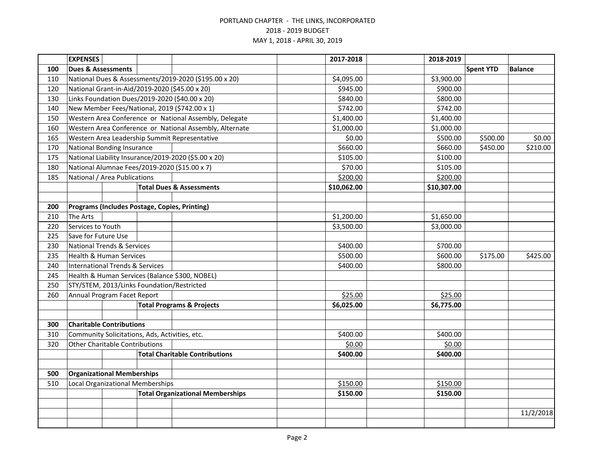|     | <b>EXPENSES</b>                                      |  |                                                         |  | 2017-2018   | 2018-2019   |                  |                |
|-----|------------------------------------------------------|--|---------------------------------------------------------|--|-------------|-------------|------------------|----------------|
| 100 | <b>Dues &amp; Assessments</b>                        |  |                                                         |  |             |             | <b>Spent YTD</b> | <b>Balance</b> |
| 110 |                                                      |  | National Dues & Assessments/2019-2020 (\$195.00 x 20)   |  | \$4,095.00  | \$3,900.00  |                  |                |
| 120 | National Grant-in-Aid/2019-2020 (\$45.00 x 20)       |  |                                                         |  | \$945.00    | \$900.00    |                  |                |
| 130 | Links Foundation Dues/2019-2020 (\$40.00 x 20)       |  |                                                         |  | \$840.00    | \$800.00    |                  |                |
| 140 | New Member Fees/National, 2019 (\$742.00 x 1)        |  |                                                         |  | \$742.00    | \$742.00    |                  |                |
| 150 |                                                      |  | Western Area Conference or National Assembly, Delegate  |  | \$1,400.00  | \$1,400.00  |                  |                |
| 160 |                                                      |  | Western Area Conference or National Assembly, Alternate |  | \$1,000.00  | \$1,000.00  |                  |                |
| 165 | Western Area Leadership Summit Representative        |  |                                                         |  | \$0.00      | \$500.00    | \$500.00         | \$0.00         |
| 170 | <b>National Bonding Insurance</b>                    |  |                                                         |  | \$660.00    | \$660.00    | \$450.00         | \$210.00       |
| 175 | National Liability Insurance/2019-2020 (\$5.00 x 20) |  |                                                         |  | \$105.00    | \$100.00    |                  |                |
| 180 | National Alumnae Fees/2019-2020 (\$15.00 x 7)        |  |                                                         |  | \$70.00     | \$105.00    |                  |                |
| 185 | National / Area Publications                         |  |                                                         |  | \$200.00    | \$200.00    |                  |                |
|     |                                                      |  | <b>Total Dues &amp; Assessments</b>                     |  | \$10,062.00 | \$10,307.00 |                  |                |
|     |                                                      |  |                                                         |  |             |             |                  |                |
| 200 | Programs (Includes Postage, Copies, Printing)        |  |                                                         |  |             |             |                  |                |
| 210 | The Arts                                             |  |                                                         |  | \$1,200.00  | \$1,650.00  |                  |                |
| 220 | Services to Youth                                    |  |                                                         |  | \$3,500.00  | \$3,000.00  |                  |                |
| 225 | Save for Future Use                                  |  |                                                         |  |             |             |                  |                |
| 230 | <b>National Trends &amp; Services</b>                |  |                                                         |  | \$400.00    | \$700.00    |                  |                |
| 235 | <b>Health &amp; Human Services</b>                   |  |                                                         |  | \$500.00    | \$600.00    | \$175.00         | \$425.00       |
| 240 | <b>International Trends &amp; Services</b>           |  |                                                         |  | \$400.00    | \$800.00    |                  |                |
| 245 | Health & Human Services (Balance \$300, NOBEL)       |  |                                                         |  |             |             |                  |                |
| 250 | STY/STEM, 2013/Links Foundation/Restricted           |  |                                                         |  |             |             |                  |                |
| 260 | Annual Program Facet Report                          |  |                                                         |  | \$25.00     | \$25.00     |                  |                |
|     | <b>Total Programs &amp; Projects</b>                 |  |                                                         |  | \$6,025.00  | \$6,775.00  |                  |                |
|     |                                                      |  |                                                         |  |             |             |                  |                |
| 300 | <b>Charitable Contributions</b>                      |  |                                                         |  |             |             |                  |                |
| 310 | Community Solicitations, Ads, Activities, etc.       |  |                                                         |  | \$400.00    | \$400.00    |                  |                |
| 320 | <b>Other Charitable Contributions</b>                |  |                                                         |  | \$0.00      | \$0.00      |                  |                |
|     |                                                      |  | <b>Total Charitable Contributions</b>                   |  | \$400.00    | \$400.00    |                  |                |
|     |                                                      |  |                                                         |  |             |             |                  |                |
| 500 | <b>Organizational Memberships</b>                    |  |                                                         |  |             |             |                  |                |
| 510 | Local Organizational Memberships                     |  |                                                         |  | \$150.00    | \$150.00    |                  |                |
|     | <b>Total Organizational Memberships</b>              |  |                                                         |  | \$150.00    | \$150.00    |                  |                |
|     |                                                      |  |                                                         |  |             |             |                  |                |
|     |                                                      |  |                                                         |  |             |             |                  | 11/2/2018      |
|     |                                                      |  |                                                         |  |             |             |                  |                |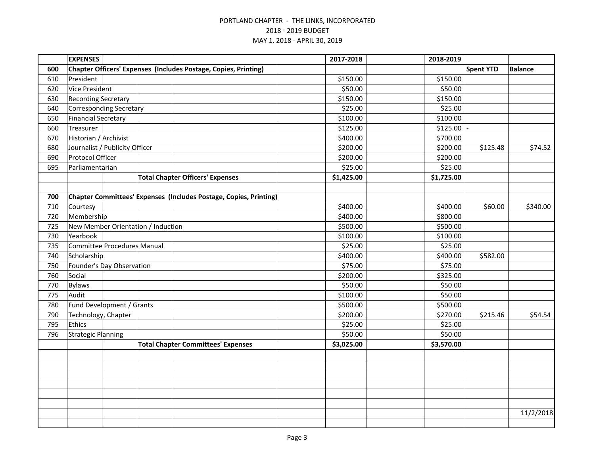|     | <b>EXPENSES</b>                    |  |  |                                                                   |  | 2017-2018  | 2018-2019  |                  |                |
|-----|------------------------------------|--|--|-------------------------------------------------------------------|--|------------|------------|------------------|----------------|
| 600 |                                    |  |  | Chapter Officers' Expenses (Includes Postage, Copies, Printing)   |  |            |            | <b>Spent YTD</b> | <b>Balance</b> |
| 610 | President                          |  |  |                                                                   |  | \$150.00   | \$150.00   |                  |                |
| 620 | <b>Vice President</b>              |  |  |                                                                   |  | \$50.00    | \$50.00    |                  |                |
| 630 | <b>Recording Secretary</b>         |  |  |                                                                   |  | \$150.00   | \$150.00   |                  |                |
| 640 | <b>Corresponding Secretary</b>     |  |  |                                                                   |  | \$25.00    | \$25.00    |                  |                |
| 650 | <b>Financial Secretary</b>         |  |  |                                                                   |  | \$100.00   | \$100.00   |                  |                |
| 660 | Treasurer                          |  |  |                                                                   |  | \$125.00   | \$125.00   |                  |                |
| 670 | Historian / Archivist              |  |  |                                                                   |  | \$400.00   | \$700.00   |                  |                |
| 680 | Journalist / Publicity Officer     |  |  |                                                                   |  | \$200.00   | \$200.00   | \$125.48         | \$74.52        |
| 690 | Protocol Officer                   |  |  |                                                                   |  | \$200.00   | \$200.00   |                  |                |
| 695 | Parliamentarian                    |  |  |                                                                   |  | \$25.00    | \$25.00    |                  |                |
|     |                                    |  |  | <b>Total Chapter Officers' Expenses</b>                           |  | \$1,425.00 | \$1,725.00 |                  |                |
|     |                                    |  |  |                                                                   |  |            |            |                  |                |
| 700 |                                    |  |  | Chapter Committees' Expenses (Includes Postage, Copies, Printing) |  |            |            |                  |                |
| 710 | Courtesy                           |  |  |                                                                   |  | \$400.00   | \$400.00   | \$60.00          | \$340.00       |
| 720 | Membership                         |  |  |                                                                   |  | \$400.00   | \$800.00   |                  |                |
| 725 | New Member Orientation / Induction |  |  |                                                                   |  | \$500.00   | \$500.00   |                  |                |
| 730 | Yearbook                           |  |  |                                                                   |  | \$100.00   | \$100.00   |                  |                |
| 735 | <b>Committee Procedures Manual</b> |  |  |                                                                   |  | \$25.00    | \$25.00    |                  |                |
| 740 | Scholarship                        |  |  |                                                                   |  | \$400.00   | \$400.00   | \$582.00         |                |
| 750 | Founder's Day Observation          |  |  |                                                                   |  | \$75.00    | \$75.00    |                  |                |
| 760 | Social                             |  |  |                                                                   |  | \$200.00   | \$325.00   |                  |                |
| 770 | <b>Bylaws</b>                      |  |  |                                                                   |  | \$50.00    | \$50.00    |                  |                |
| 775 | Audit                              |  |  |                                                                   |  | \$100.00   | \$50.00    |                  |                |
| 780 | Fund Development / Grants          |  |  |                                                                   |  | \$500.00   | \$500.00   |                  |                |
| 790 | Technology, Chapter                |  |  |                                                                   |  | \$200.00   | \$270.00   | \$215.46         | \$54.54        |
| 795 | Ethics                             |  |  |                                                                   |  | \$25.00    | \$25.00    |                  |                |
| 796 | <b>Strategic Planning</b>          |  |  |                                                                   |  | \$50.00    | \$50.00    |                  |                |
|     |                                    |  |  | <b>Total Chapter Committees' Expenses</b>                         |  | \$3,025.00 | \$3,570.00 |                  |                |
|     |                                    |  |  |                                                                   |  |            |            |                  |                |
|     |                                    |  |  |                                                                   |  |            |            |                  |                |
|     |                                    |  |  |                                                                   |  |            |            |                  |                |
|     |                                    |  |  |                                                                   |  |            |            |                  |                |
|     |                                    |  |  |                                                                   |  |            |            |                  |                |
|     |                                    |  |  |                                                                   |  |            |            |                  |                |
|     |                                    |  |  |                                                                   |  |            |            |                  | 11/2/2018      |
|     |                                    |  |  |                                                                   |  |            |            |                  |                |